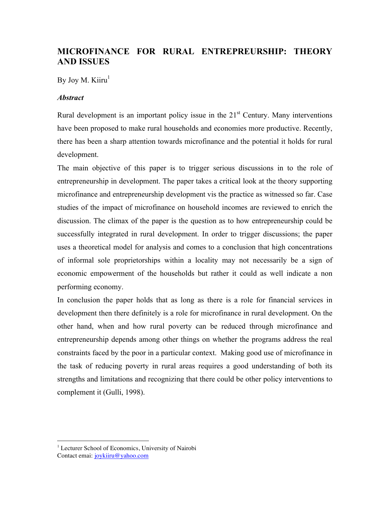# **MICROFINANCE FOR RURAL ENTREPREURSHIP: THEORY AND ISSUES**

By Joy M. Kiiru $<sup>1</sup>$ </sup>

## *Abstract*

Rural development is an important policy issue in the  $21<sup>st</sup>$  Century. Many interventions have been proposed to make rural households and economies more productive. Recently, there has been a sharp attention towards microfinance and the potential it holds for rural development.

The main objective of this paper is to trigger serious discussions in to the role of entrepreneurship in development. The paper takes a critical look at the theory supporting microfinance and entrepreneurship development vis the practice as witnessed so far. Case studies of the impact of microfinance on household incomes are reviewed to enrich the discussion. The climax of the paper is the question as to how entrepreneurship could be successfully integrated in rural development. In order to trigger discussions; the paper uses a theoretical model for analysis and comes to a conclusion that high concentrations of informal sole proprietorships within a locality may not necessarily be a sign of economic empowerment of the households but rather it could as well indicate a non performing economy.

In conclusion the paper holds that as long as there is a role for financial services in development then there definitely is a role for microfinance in rural development. On the other hand, when and how rural poverty can be reduced through microfinance and entrepreneurship depends among other things on whether the programs address the real constraints faced by the poor in a particular context. Making good use of microfinance in the task of reducing poverty in rural areas requires a good understanding of both its strengths and limitations and recognizing that there could be other policy interventions to complement it (Gulli, 1998).

 $\overline{a}$ 

<sup>&</sup>lt;sup>1</sup> Lecturer School of Economics, University of Nairobi Contact emai: joykiiru@yahoo.com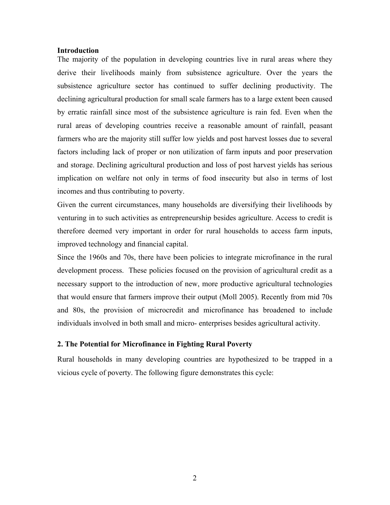#### **Introduction**

The majority of the population in developing countries live in rural areas where they derive their livelihoods mainly from subsistence agriculture. Over the years the subsistence agriculture sector has continued to suffer declining productivity. The declining agricultural production for small scale farmers has to a large extent been caused by erratic rainfall since most of the subsistence agriculture is rain fed. Even when the rural areas of developing countries receive a reasonable amount of rainfall, peasant farmers who are the majority still suffer low yields and post harvest losses due to several factors including lack of proper or non utilization of farm inputs and poor preservation and storage. Declining agricultural production and loss of post harvest yields has serious implication on welfare not only in terms of food insecurity but also in terms of lost incomes and thus contributing to poverty.

Given the current circumstances, many households are diversifying their livelihoods by venturing in to such activities as entrepreneurship besides agriculture. Access to credit is therefore deemed very important in order for rural households to access farm inputs, improved technology and financial capital.

Since the 1960s and 70s, there have been policies to integrate microfinance in the rural development process. These policies focused on the provision of agricultural credit as a necessary support to the introduction of new, more productive agricultural technologies that would ensure that farmers improve their output (Moll 2005). Recently from mid 70s and 80s, the provision of microcredit and microfinance has broadened to include individuals involved in both small and micro- enterprises besides agricultural activity.

## **2. The Potential for Microfinance in Fighting Rural Poverty**

Rural households in many developing countries are hypothesized to be trapped in a vicious cycle of poverty. The following figure demonstrates this cycle: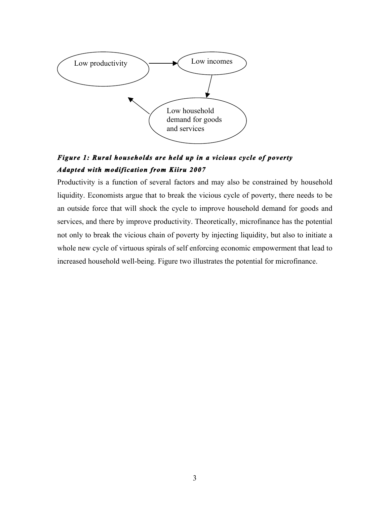

# *Figure 1: Rural households are held up in a vicious cycle of poverty Adapted with modification from Kiiru 2007*

Productivity is a function of several factors and may also be constrained by household liquidity. Economists argue that to break the vicious cycle of poverty, there needs to be an outside force that will shock the cycle to improve household demand for goods and services, and there by improve productivity. Theoretically, microfinance has the potential not only to break the vicious chain of poverty by injecting liquidity, but also to initiate a whole new cycle of virtuous spirals of self enforcing economic empowerment that lead to increased household well-being. Figure two illustrates the potential for microfinance.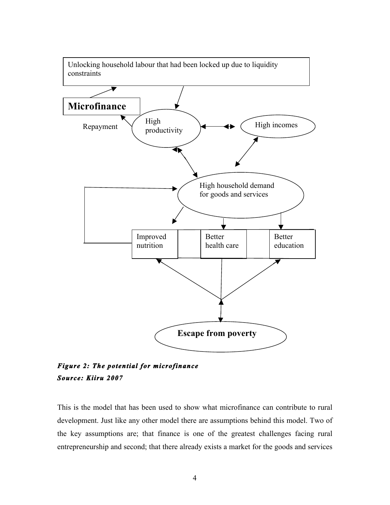

*Figure 2: The potential for microfinance Source: Kiiru 2007* 

This is the model that has been used to show what microfinance can contribute to rural development. Just like any other model there are assumptions behind this model. Two of the key assumptions are; that finance is one of the greatest challenges facing rural entrepreneurship and second; that there already exists a market for the goods and services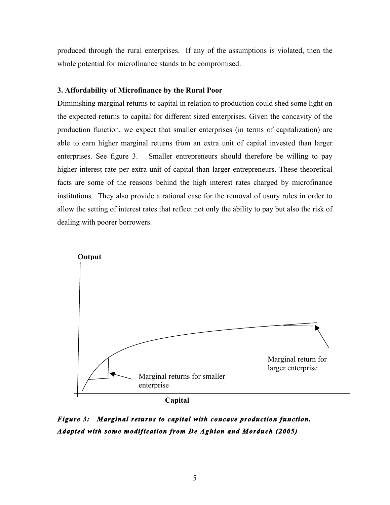produced through the rural enterprises. If any of the assumptions is violated, then the whole potential for microfinance stands to be compromised.

## **3. Affordability of Microfinance by the Rural Poor**

Diminishing marginal returns to capital in relation to production could shed some light on the expected returns to capital for different sized enterprises. Given the concavity of the production function, we expect that smaller enterprises (in terms of capitalization) are able to earn higher marginal returns from an extra unit of capital invested than larger enterprises. See figure 3. Smaller entrepreneurs should therefore be willing to pay higher interest rate per extra unit of capital than larger entrepreneurs. These theoretical facts are some of the reasons behind the high interest rates charged by microfinance institutions. They also provide a rational case for the removal of usury rules in order to allow the setting of interest rates that reflect not only the ability to pay but also the risk of dealing with poorer borrowers.



*Figure 3: Marginal returns to capital with concave production function. Adapted with some modification from De Aghion and Morduch (2005)*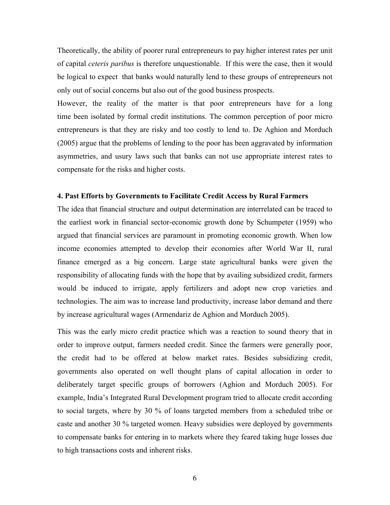Theoretically, the ability of poorer rural entrepreneurs to pay higher interest rates per unit of capital *ceteris paribus* is therefore unquestionable. If this were the case, then it would be logical to expect that banks would naturally lend to these groups of entrepreneurs not only out of social concerns but also out of the good business prospects.

However, the reality of the matter is that poor entrepreneurs have for a long time been isolated by formal credit institutions. The common perception of poor micro entrepreneurs is that they are risky and too costly to lend to. De Aghion and Morduch (2005) argue that the problems of lending to the poor has been aggravated by information asymmetries, and usury laws such that banks can not use appropriate interest rates to compensate for the risks and higher costs.

## **4. Past Efforts by Governments to Facilitate Credit Access by Rural Farmers**

The idea that financial structure and output determination are interrelated can be traced to the earliest work in financial sector-economic growth done by Schumpeter (1959) who argued that financial services are paramount in promoting economic growth. When low income economies attempted to develop their economies after World War II, rural finance emerged as a big concern. Large state agricultural banks were given the responsibility of allocating funds with the hope that by availing subsidized credit, farmers would be induced to irrigate, apply fertilizers and adopt new crop varieties and technologies. The aim was to increase land productivity, increase labor demand and there by increase agricultural wages (Armendariz de Aghion and Morduch 2005).

This was the early micro credit practice which was a reaction to sound theory that in order to improve output, farmers needed credit. Since the farmers were generally poor, the credit had to be offered at below market rates. Besides subsidizing credit, governments also operated on well thought plans of capital allocation in order to deliberately target specific groups of borrowers (Aghion and Morduch 2005). For example, India's Integrated Rural Development program tried to allocate credit according to social targets, where by 30 % of loans targeted members from a scheduled tribe or caste and another 30 % targeted women. Heavy subsidies were deployed by governments to compensate banks for entering in to markets where they feared taking huge losses due to high transactions costs and inherent risks.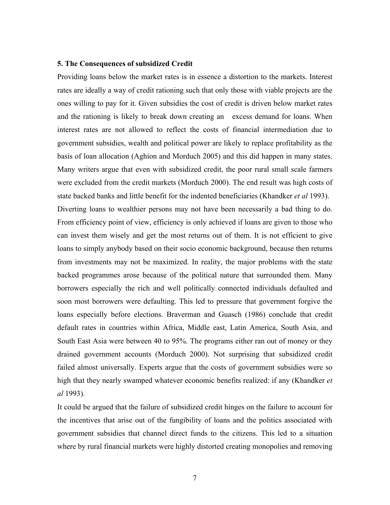#### **5. The Consequences of subsidized Credit**

Providing loans below the market rates is in essence a distortion to the markets. Interest rates are ideally a way of credit rationing such that only those with viable projects are the ones willing to pay for it. Given subsidies the cost of credit is driven below market rates and the rationing is likely to break down creating an excess demand for loans. When interest rates are not allowed to reflect the costs of financial intermediation due to government subsidies, wealth and political power are likely to replace profitability as the basis of loan allocation (Aghion and Morduch 2005) and this did happen in many states. Many writers argue that even with subsidized credit, the poor rural small scale farmers were excluded from the credit markets (Morduch 2000). The end result was high costs of state backed banks and little benefit for the indented beneficiaries (Khandker *et al* 1993). Diverting loans to wealthier persons may not have been necessarily a bad thing to do. From efficiency point of view, efficiency is only achieved if loans are given to those who can invest them wisely and get the most returns out of them. It is not efficient to give loans to simply anybody based on their socio economic background, because then returns from investments may not be maximized. In reality, the major problems with the state backed programmes arose because of the political nature that surrounded them. Many borrowers especially the rich and well politically connected individuals defaulted and soon most borrowers were defaulting. This led to pressure that government forgive the loans especially before elections. Braverman and Guasch (1986) conclude that credit default rates in countries within Africa, Middle east, Latin America, South Asia, and South East Asia were between 40 to 95%. The programs either ran out of money or they drained government accounts (Morduch 2000). Not surprising that subsidized credit failed almost universally. Experts argue that the costs of government subsidies were so high that they nearly swamped whatever economic benefits realized: if any (Khandker *et al* 1993).

It could be argued that the failure of subsidized credit hinges on the failure to account for the incentives that arise out of the fungibility of loans and the politics associated with government subsidies that channel direct funds to the citizens. This led to a situation where by rural financial markets were highly distorted creating monopolies and removing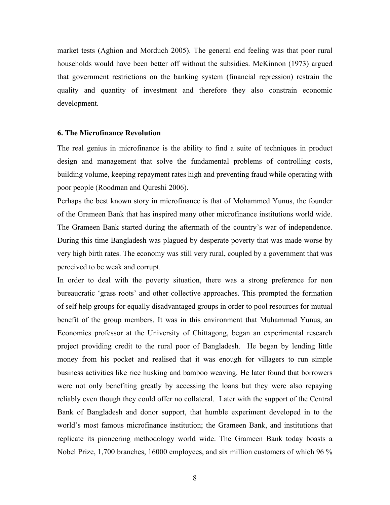market tests (Aghion and Morduch 2005). The general end feeling was that poor rural households would have been better off without the subsidies. McKinnon (1973) argued that government restrictions on the banking system (financial repression) restrain the quality and quantity of investment and therefore they also constrain economic development.

#### **6. The Microfinance Revolution**

The real genius in microfinance is the ability to find a suite of techniques in product design and management that solve the fundamental problems of controlling costs, building volume, keeping repayment rates high and preventing fraud while operating with poor people (Roodman and Qureshi 2006).

Perhaps the best known story in microfinance is that of Mohammed Yunus, the founder of the Grameen Bank that has inspired many other microfinance institutions world wide. The Grameen Bank started during the aftermath of the country's war of independence. During this time Bangladesh was plagued by desperate poverty that was made worse by very high birth rates. The economy was still very rural, coupled by a government that was perceived to be weak and corrupt.

In order to deal with the poverty situation, there was a strong preference for non bureaucratic 'grass roots' and other collective approaches. This prompted the formation of self help groups for equally disadvantaged groups in order to pool resources for mutual benefit of the group members. It was in this environment that Muhammad Yunus, an Economics professor at the University of Chittagong, began an experimental research project providing credit to the rural poor of Bangladesh. He began by lending little money from his pocket and realised that it was enough for villagers to run simple business activities like rice husking and bamboo weaving. He later found that borrowers were not only benefiting greatly by accessing the loans but they were also repaying reliably even though they could offer no collateral. Later with the support of the Central Bank of Bangladesh and donor support, that humble experiment developed in to the world's most famous microfinance institution; the Grameen Bank, and institutions that replicate its pioneering methodology world wide. The Grameen Bank today boasts a Nobel Prize, 1,700 branches, 16000 employees, and six million customers of which 96 %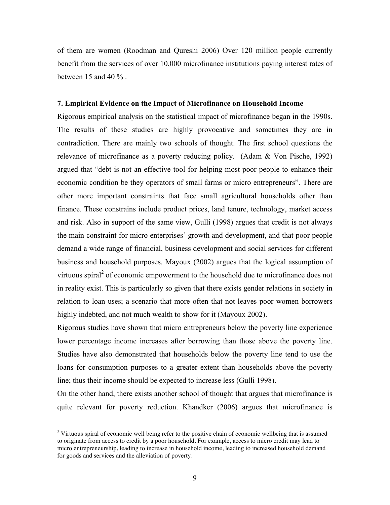of them are women (Roodman and Qureshi 2006) Over 120 million people currently benefit from the services of over 10,000 microfinance institutions paying interest rates of between 15 and 40 % .

#### **7. Empirical Evidence on the Impact of Microfinance on Household Income**

Rigorous empirical analysis on the statistical impact of microfinance began in the 1990s. The results of these studies are highly provocative and sometimes they are in contradiction. There are mainly two schools of thought. The first school questions the relevance of microfinance as a poverty reducing policy. (Adam & Von Pische, 1992) argued that "debt is not an effective tool for helping most poor people to enhance their economic condition be they operators of small farms or micro entrepreneurs". There are other more important constraints that face small agricultural households other than finance. These constrains include product prices, land tenure, technology, market access and risk. Also in support of the same view, Gulli (1998) argues that credit is not always the main constraint for micro enterprises´ growth and development, and that poor people demand a wide range of financial, business development and social services for different business and household purposes. Mayoux (2002) argues that the logical assumption of virtuous spiral<sup>2</sup> of economic empowerment to the household due to microfinance does not in reality exist. This is particularly so given that there exists gender relations in society in relation to loan uses; a scenario that more often that not leaves poor women borrowers highly indebted, and not much wealth to show for it (Mayoux 2002).

Rigorous studies have shown that micro entrepreneurs below the poverty line experience lower percentage income increases after borrowing than those above the poverty line. Studies have also demonstrated that households below the poverty line tend to use the loans for consumption purposes to a greater extent than households above the poverty line; thus their income should be expected to increase less (Gulli 1998).

On the other hand, there exists another school of thought that argues that microfinance is quite relevant for poverty reduction. Khandker (2006) argues that microfinance is

 $\overline{a}$ 

<sup>&</sup>lt;sup>2</sup> Virtuous spiral of economic well being refer to the positive chain of economic wellbeing that is assumed to originate from access to credit by a poor household. For example, access to micro credit may lead to micro entrepreneurship, leading to increase in household income, leading to increased household demand for goods and services and the alleviation of poverty.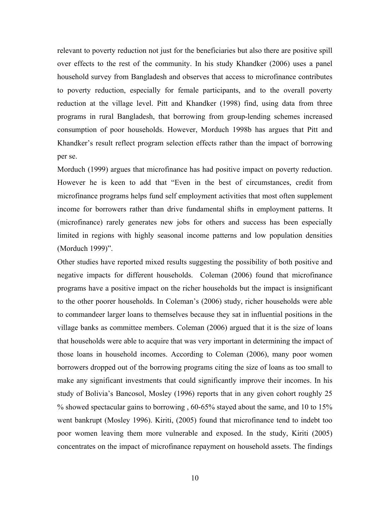relevant to poverty reduction not just for the beneficiaries but also there are positive spill over effects to the rest of the community. In his study Khandker (2006) uses a panel household survey from Bangladesh and observes that access to microfinance contributes to poverty reduction, especially for female participants, and to the overall poverty reduction at the village level. Pitt and Khandker (1998) find, using data from three programs in rural Bangladesh, that borrowing from group-lending schemes increased consumption of poor households. However, Morduch 1998b has argues that Pitt and Khandker's result reflect program selection effects rather than the impact of borrowing per se.

Morduch (1999) argues that microfinance has had positive impact on poverty reduction. However he is keen to add that "Even in the best of circumstances, credit from microfinance programs helps fund self employment activities that most often supplement income for borrowers rather than drive fundamental shifts in employment patterns. It (microfinance) rarely generates new jobs for others and success has been especially limited in regions with highly seasonal income patterns and low population densities (Morduch 1999)".

Other studies have reported mixed results suggesting the possibility of both positive and negative impacts for different households. Coleman (2006) found that microfinance programs have a positive impact on the richer households but the impact is insignificant to the other poorer households. In Coleman's (2006) study, richer households were able to commandeer larger loans to themselves because they sat in influential positions in the village banks as committee members. Coleman (2006) argued that it is the size of loans that households were able to acquire that was very important in determining the impact of those loans in household incomes. According to Coleman (2006), many poor women borrowers dropped out of the borrowing programs citing the size of loans as too small to make any significant investments that could significantly improve their incomes. In his study of Bolivia's Bancosol, Mosley (1996) reports that in any given cohort roughly 25 % showed spectacular gains to borrowing , 60-65% stayed about the same, and 10 to 15% went bankrupt (Mosley 1996). Kiriti, (2005) found that microfinance tend to indebt too poor women leaving them more vulnerable and exposed. In the study, Kiriti (2005) concentrates on the impact of microfinance repayment on household assets. The findings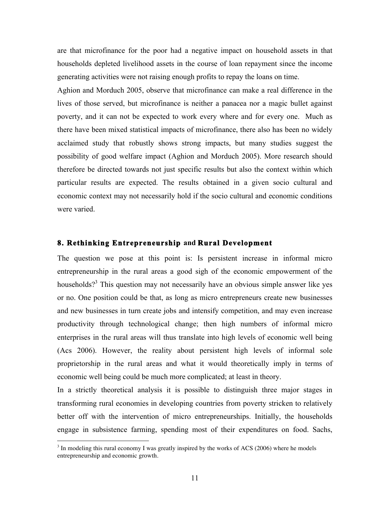are that microfinance for the poor had a negative impact on household assets in that households depleted livelihood assets in the course of loan repayment since the income generating activities were not raising enough profits to repay the loans on time.

Aghion and Morduch 2005, observe that microfinance can make a real difference in the lives of those served, but microfinance is neither a panacea nor a magic bullet against poverty, and it can not be expected to work every where and for every one. Much as there have been mixed statistical impacts of microfinance, there also has been no widely acclaimed study that robustly shows strong impacts, but many studies suggest the possibility of good welfare impact (Aghion and Morduch 2005). More research should therefore be directed towards not just specific results but also the context within which particular results are expected. The results obtained in a given socio cultural and economic context may not necessarily hold if the socio cultural and economic conditions were varied.

# **8. Rethinking Entrepreneurship and Rural Development**

The question we pose at this point is: Is persistent increase in informal micro entrepreneurship in the rural areas a good sigh of the economic empowerment of the households?<sup>3</sup> This question may not necessarily have an obvious simple answer like yes or no. One position could be that, as long as micro entrepreneurs create new businesses and new businesses in turn create jobs and intensify competition, and may even increase productivity through technological change; then high numbers of informal micro enterprises in the rural areas will thus translate into high levels of economic well being (Acs 2006). However, the reality about persistent high levels of informal sole proprietorship in the rural areas and what it would theoretically imply in terms of economic well being could be much more complicated; at least in theory.

In a strictly theoretical analysis it is possible to distinguish three major stages in transforming rural economies in developing countries from poverty stricken to relatively better off with the intervention of micro entrepreneurships. Initially, the households engage in subsistence farming, spending most of their expenditures on food. Sachs,

 $\overline{a}$ 

 $3$  In modeling this rural economy I was greatly inspired by the works of ACS (2006) where he models entrepreneurship and economic growth.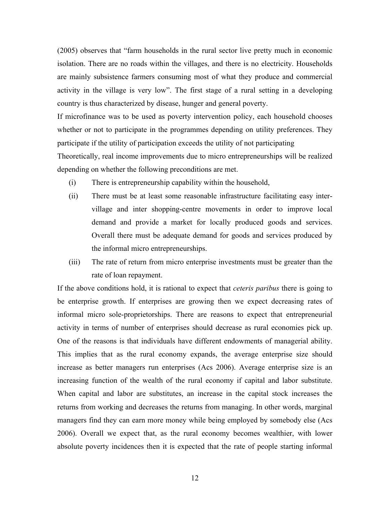(2005) observes that "farm households in the rural sector live pretty much in economic isolation. There are no roads within the villages, and there is no electricity. Households are mainly subsistence farmers consuming most of what they produce and commercial activity in the village is very low". The first stage of a rural setting in a developing country is thus characterized by disease, hunger and general poverty.

If microfinance was to be used as poverty intervention policy, each household chooses whether or not to participate in the programmes depending on utility preferences. They participate if the utility of participation exceeds the utility of not participating

Theoretically, real income improvements due to micro entrepreneurships will be realized depending on whether the following preconditions are met.

- (i) There is entrepreneurship capability within the household,
- (ii) There must be at least some reasonable infrastructure facilitating easy intervillage and inter shopping-centre movements in order to improve local demand and provide a market for locally produced goods and services. Overall there must be adequate demand for goods and services produced by the informal micro entrepreneurships.
- (iii) The rate of return from micro enterprise investments must be greater than the rate of loan repayment.

If the above conditions hold, it is rational to expect that *ceteris paribus* there is going to be enterprise growth. If enterprises are growing then we expect decreasing rates of informal micro sole-proprietorships. There are reasons to expect that entrepreneurial activity in terms of number of enterprises should decrease as rural economies pick up. One of the reasons is that individuals have different endowments of managerial ability. This implies that as the rural economy expands, the average enterprise size should increase as better managers run enterprises (Acs 2006). Average enterprise size is an increasing function of the wealth of the rural economy if capital and labor substitute. When capital and labor are substitutes, an increase in the capital stock increases the returns from working and decreases the returns from managing. In other words, marginal managers find they can earn more money while being employed by somebody else (Acs 2006). Overall we expect that, as the rural economy becomes wealthier, with lower absolute poverty incidences then it is expected that the rate of people starting informal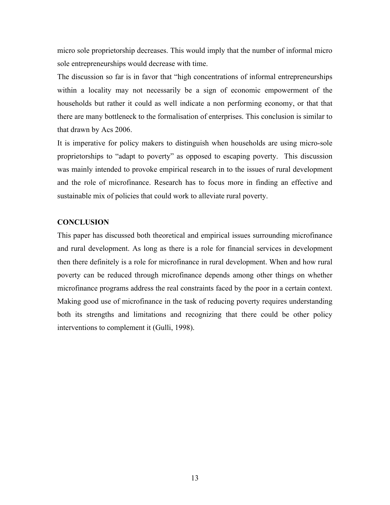micro sole proprietorship decreases. This would imply that the number of informal micro sole entrepreneurships would decrease with time.

The discussion so far is in favor that "high concentrations of informal entrepreneurships within a locality may not necessarily be a sign of economic empowerment of the households but rather it could as well indicate a non performing economy, or that that there are many bottleneck to the formalisation of enterprises. This conclusion is similar to that drawn by Acs 2006.

It is imperative for policy makers to distinguish when households are using micro-sole proprietorships to "adapt to poverty" as opposed to escaping poverty. This discussion was mainly intended to provoke empirical research in to the issues of rural development and the role of microfinance. Research has to focus more in finding an effective and sustainable mix of policies that could work to alleviate rural poverty.

# **CONCLUSION**

This paper has discussed both theoretical and empirical issues surrounding microfinance and rural development. As long as there is a role for financial services in development then there definitely is a role for microfinance in rural development. When and how rural poverty can be reduced through microfinance depends among other things on whether microfinance programs address the real constraints faced by the poor in a certain context. Making good use of microfinance in the task of reducing poverty requires understanding both its strengths and limitations and recognizing that there could be other policy interventions to complement it (Gulli, 1998).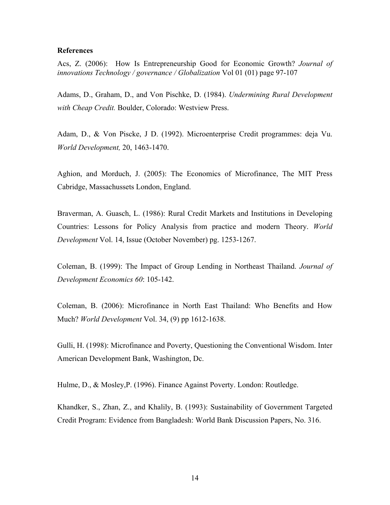#### **References**

Acs, Z. (2006): How Is Entrepreneurship Good for Economic Growth? *Journal of innovations Technology / governance / Globalization* Vol 01 (01) page 97-107

Adams, D., Graham, D., and Von Pischke, D. (1984). *Undermining Rural Development with Cheap Credit.* Boulder, Colorado: Westview Press.

Adam, D., & Von Piscke, J D. (1992). Microenterprise Credit programmes: deja Vu. *World Development,* 20, 1463-1470.

Aghion, and Morduch, J. (2005): The Economics of Microfinance, The MIT Press Cabridge, Massachussets London, England.

Braverman, A. Guasch, L. (1986): Rural Credit Markets and Institutions in Developing Countries: Lessons for Policy Analysis from practice and modern Theory. *World Development* Vol. 14, Issue (October November) pg. 1253-1267.

Coleman, B. (1999): The Impact of Group Lending in Northeast Thailand. *Journal of Development Economics 60*: 105-142.

Coleman, B. (2006): Microfinance in North East Thailand: Who Benefits and How Much? *World Development* Vol. 34, (9) pp 1612-1638.

Gulli, H. (1998): Microfinance and Poverty, Questioning the Conventional Wisdom. Inter American Development Bank, Washington, Dc.

Hulme, D., & Mosley,P. (1996). Finance Against Poverty. London: Routledge.

Khandker, S., Zhan, Z., and Khalily, B. (1993): Sustainability of Government Targeted Credit Program: Evidence from Bangladesh: World Bank Discussion Papers, No. 316.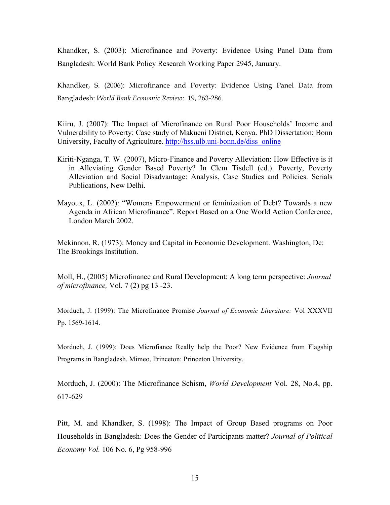Khandker, S. (2003): Microfinance and Poverty: Evidence Using Panel Data from Bangladesh: World Bank Policy Research Working Paper 2945, January.

Khandker, S. (2006): Microfinance and Poverty: Evidence Using Panel Data from Bangladesh: *World Bank Economic Review*: 19, 263-286.

Kiiru, J. (2007): The Impact of Microfinance on Rural Poor Households' Income and Vulnerability to Poverty: Case study of Makueni District, Kenya. PhD Dissertation; Bonn University, Faculty of Agriculture. http://hss.ulb.uni-bonn.de/diss\_online

- Kiriti-Nganga, T. W. (2007), Micro-Finance and Poverty Alleviation: How Effective is it in Alleviating Gender Based Poverty? In Clem Tisdell (ed.). Poverty, Poverty Alleviation and Social Disadvantage: Analysis, Case Studies and Policies. Serials Publications, New Delhi.
- Mayoux, L. (2002): "Womens Empowerment or feminization of Debt? Towards a new Agenda in African Microfinance". Report Based on a One World Action Conference, London March 2002.

Mckinnon, R. (1973): Money and Capital in Economic Development. Washington, Dc: The Brookings Institution.

Moll, H., (2005) Microfinance and Rural Development: A long term perspective: *Journal of microfinance,* Vol. 7 (2) pg 13 -23.

Morduch, J. (1999): The Microfinance Promise *Journal of Economic Literature:* Vol XXXVII Pp. 1569-1614.

Morduch, J. (1999): Does Microfiance Really help the Poor? New Evidence from Flagship Programs in Bangladesh. Mimeo, Princeton: Princeton University.

Morduch, J. (2000): The Microfinance Schism, *World Development* Vol. 28, No.4, pp. 617-629

Pitt, M. and Khandker, S. (1998): The Impact of Group Based programs on Poor Households in Bangladesh: Does the Gender of Participants matter? *Journal of Political Economy Vol.* 106 No. 6, Pg 958-996